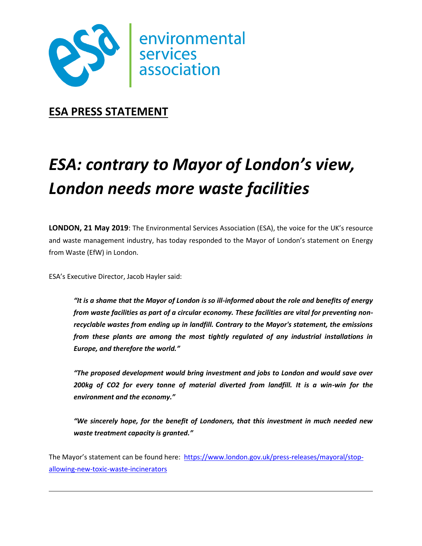

**ESA PRESS STATEMENT**

## *ESA: contrary to Mayor of London's view, London needs more waste facilities*

**LONDON, 21 May 2019**: The Environmental Services Association (ESA), the voice for the UK's resource and waste management industry, has today responded to the Mayor of London's statement on Energy from Waste (EfW) in London.

ESA's Executive Director, Jacob Hayler said:

*"It is a shame that the Mayor of London is so ill-informed about the role and benefits of energy from waste facilities as part of a circular economy. These facilities are vital for preventing nonrecyclable wastes from ending up in landfill. Contrary to the Mayor's statement, the emissions from these plants are among the most tightly regulated of any industrial installations in Europe, and therefore the world."*

*"The proposed development would bring investment and jobs to London and would save over 200kg of CO2 for every tonne of material diverted from landfill. It is a win-win for the environment and the economy."*

*"We sincerely hope, for the benefit of Londoners, that this investment in much needed new waste treatment capacity is granted."*

The Mayor's statement can be found here: [https://www.london.gov.uk/press-releases/mayoral/stop](https://www.london.gov.uk/press-releases/mayoral/stop-allowing-new-toxic-waste-incinerators)[allowing-new-toxic-waste-incinerators](https://www.london.gov.uk/press-releases/mayoral/stop-allowing-new-toxic-waste-incinerators)